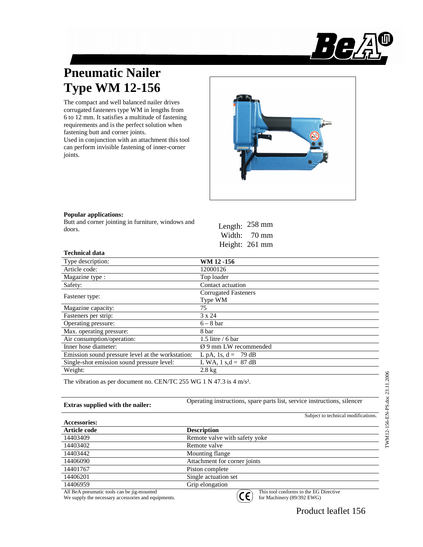

# **Pneumatic Nailer Type WM 12-156**

The compact and well balanced nailer drives corrugated fasteners type WM in lengths from 6 to 12 mm. It satisfies a multitude of fastening requirements and is the perfect solution when fastening butt and corner joints.

Used in conjunction with an attachment this tool can perform invisible fastening of inner-corner joints.



### **Popular applications:**

Butt and corner jointing in furniture, windows and doors.

|        | Length: 258 mm |
|--------|----------------|
| Width: | 70 mm          |
|        | Height: 261 mm |

### **Technical data**

| Type description:                                 | WM 12-156                         |
|---------------------------------------------------|-----------------------------------|
| Article code:                                     | 12000126                          |
| Magazine type :                                   | Top loader                        |
| Safety:                                           | Contact actuation                 |
| Fastener type:                                    | <b>Corrugated Fasteners</b>       |
|                                                   | Type WM                           |
| Magazine capacity:                                | 75                                |
| Fasteners per strip:                              | 3 x 24                            |
| Operating pressure:                               | $6 - 8$ bar                       |
| Max. operating pressure:                          | 8 bar                             |
| Air consumption/operation:                        | 1.5 litre / 6 bar                 |
| Inner hose diameter:                              | $\varnothing$ 9 mm LW recommended |
| Emission sound pressure level at the workstation: | L pA, 1s, $d = 79 dB$             |
| Single-shot emission sound pressure level:        | L WA, $1 s.d = 87 dB$             |
| Weight:                                           | $2.8 \text{ kg}$                  |
|                                                   |                                   |

The vibration as per document no. CEN/TC 255 WG 1 N 47.3 is 4 m/s².

**Extras supplied with the nailer:** Operating instructions, spare parts list, service instructions, silencer

|                                                                                                                                      |                               | Subject to technical modifications. |
|--------------------------------------------------------------------------------------------------------------------------------------|-------------------------------|-------------------------------------|
| <b>Accessories:</b>                                                                                                                  |                               |                                     |
| Article code                                                                                                                         | <b>Description</b>            |                                     |
| 14403409                                                                                                                             | Remote valve with safety yoke |                                     |
| 14403402                                                                                                                             | Remote valve                  |                                     |
| 14403442                                                                                                                             | Mounting flange               |                                     |
| 14406090                                                                                                                             | Attachment for corner joints  |                                     |
| 14401767                                                                                                                             | Piston complete               |                                     |
| 14406201                                                                                                                             | Single actuation set          |                                     |
| 14406959                                                                                                                             | Grip elongation               |                                     |
| $\mathbf{A}$ and $\mathbf{B}$ and $\mathbf{A}$ are a set of $\mathbf{A}$ and $\mathbf{A}$ are a set of $\mathbf{A}$ and $\mathbf{A}$ |                               | material contractors of             |

All BeA pneumatic tools can be jig-mounted We supply the necessary accessories and equipments.



This tool conforms to the EG Directive for Machinery (89/392 EWG)

Product leaflet 156